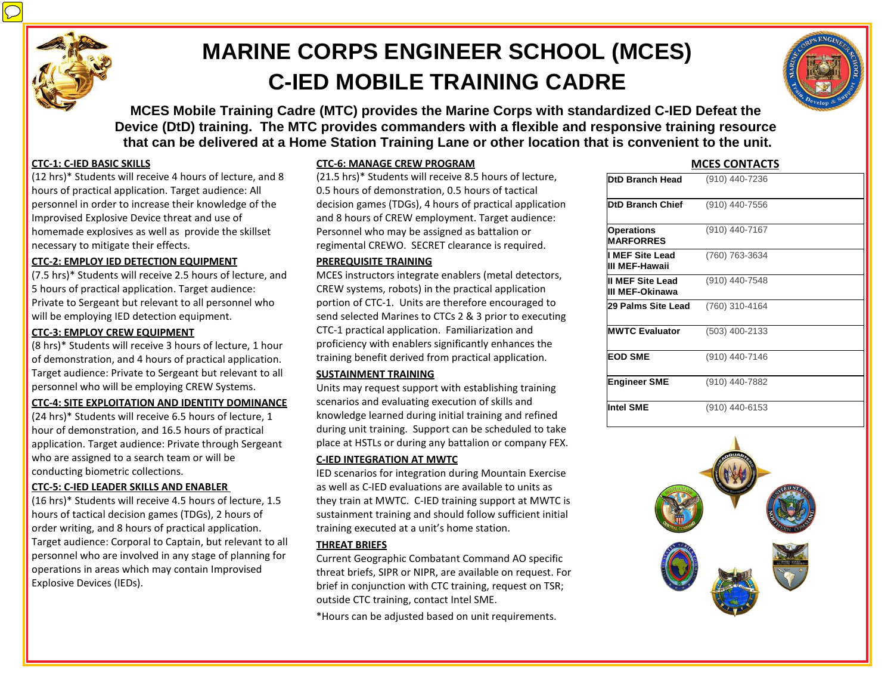

# **MARINE CORPS ENGINEER SCHOOL (MCES) C-IED MOBILE TRAINING CADRE**

**MCES Mobile Training Cadre (MTC) provides the Marine Corps with standardized C-IED Defeat the Device (DtD) training. The MTC provides commanders with a flexible and responsive training resource that can be delivered at a Home Station Training Lane or other location that is convenient to the unit.**

# **CTC-1: C-IED BASIC SKILLS**

(12 hrs)\* Students will receive 4 hours of lecture, and 8 hours of practical application. Target audience: All personnel in order to increase their knowledge of the Improvised Explosive Device threat and use of homemade explosives as well as provide the skillset necessary to mitigate their effects.

#### **CTC-2: EMPLOY IED DETECTION EQUIPMENT**

(7.5 hrs)\* Students will receive 2.5 hours of lecture, and 5 hours of practical application. Target audience: Private to Sergeant but relevant to all personnel who will be employing IED detection equipment.

#### **CTC-3: EMPLOY CREW EQUIPMENT**

(8 hrs)\* Students will receive 3 hours of lecture, 1 hour of demonstration, and 4 hours of practical application. Target audience: Private to Sergeant but relevant to all personnel who will be employing CREW Systems.

#### **CTC-4: SITE EXPLOITATION AND IDENTITY DOMINANCE**

(24 hrs)\* Students will receive 6.5 hours of lecture, 1 hour of demonstration, and 16.5 hours of practical application. Target audience: Private through Sergeant who are assigned to a search team or will be conducting biometric collections.

# **CTC-5: C-IED LEADER SKILLS AND ENABLER**

(16 hrs)\* Students will receive 4.5 hours of lecture, 1.5 hours of tactical decision games (TDGs), 2 hours of order writing, and 8 hours of practical application. Target audience: Corporal to Captain, but relevant to all personnel who are involved in any stage of planning for operations in areas which may contain Improvised Explosive Devices (IEDs).

# **CTC-6: MANAGE CREW PROGRAM**

(21.5 hrs)\* Students will receive 8.5 hours of lecture, 0.5 hours of demonstration, 0.5 hours of tactical decision games (TDGs), 4 hours of practical application and 8 hours of CREW employment. Target audience: Personnel who may be assigned as battalion or regimental CREWO. SECRET clearance is required.

#### **PREREQUISITE TRAINING**

MCES instructors integrate enablers (metal detectors, CREW systems, robots) in the practical application portion of CTC-1. Units are therefore encouraged to send selected Marines to CTCs 2 & 3 prior to executing CTC-1 practical application. Familiarization and proficiency with enablers significantly enhances the training benefit derived from practical application.

#### **SUSTAINMENT TRAINING**

Units may request support with establishing training scenarios and evaluating execution of skills and knowledge learned during initial training and refined during unit training. Support can be scheduled to take place at HSTLs or during any battalion or company FEX.

# **C-IED INTEGRATION AT MWTC**

IED scenarios for integration during Mountain Exercise as well as C-IED evaluations are available to units as they train at MWTC. C-IED training support at MWTC is sustainment training and should follow sufficient initial training executed at a unit's home station.

# **THREAT BRIEFS**

Current Geographic Combatant Command AO specific threat briefs, SIPR or NIPR, are available on request. For brief in conjunction with CTC training, request on TSR; outside CTC training, contact Intel SME.

\*Hours can be adjusted based on unit requirements.

# **MCES CONTACTS**

| <b>DtD Branch Head</b>                | (910) 440-7236 |
|---------------------------------------|----------------|
| <b>DtD Branch Chief</b>               | (910) 440-7556 |
| <b>Operations</b><br><b>MARFORRES</b> | (910) 440-7167 |
| I MEF Site Lead<br>III MEF-Hawaii     | (760) 763-3634 |
| II MEF Site Lead<br>III MEF-Okinawa   | (910) 440-7548 |
| 29 Palms Site Lead                    | (760) 310-4164 |
| <b>MWTC Evaluator</b>                 | (503) 400-2133 |
| <b>EOD SME</b>                        | (910) 440-7146 |
| <b>Engineer SME</b>                   | (910) 440-7882 |
| <b>Intel SME</b>                      | (910) 440-6153 |